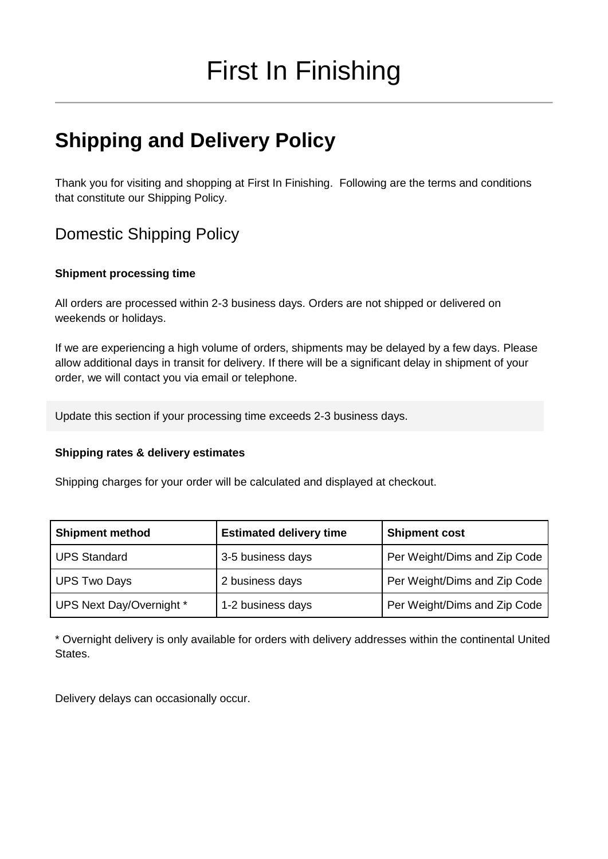# **Shipping and Delivery Policy**

Thank you for visiting and shopping at First In Finishing. Following are the terms and conditions that constitute our Shipping Policy.

## Domestic Shipping Policy

#### **Shipment processing time**

All orders are processed within 2-3 business days. Orders are not shipped or delivered on weekends or holidays.

If we are experiencing a high volume of orders, shipments may be delayed by a few days. Please allow additional days in transit for delivery. If there will be a significant delay in shipment of your order, we will contact you via email or telephone.

Update this section if your processing time exceeds 2-3 business days.

#### **Shipping rates & delivery estimates**

Shipping charges for your order will be calculated and displayed at checkout.

| <b>Shipment method</b>   | <b>Estimated delivery time</b> | <b>Shipment cost</b>         |
|--------------------------|--------------------------------|------------------------------|
| <b>UPS Standard</b>      | 3-5 business days              | Per Weight/Dims and Zip Code |
| <b>UPS Two Days</b>      | 2 business days                | Per Weight/Dims and Zip Code |
| UPS Next Day/Overnight * | 1-2 business days              | Per Weight/Dims and Zip Code |

\* Overnight delivery is only available for orders with delivery addresses within the continental United States.

Delivery delays can occasionally occur.